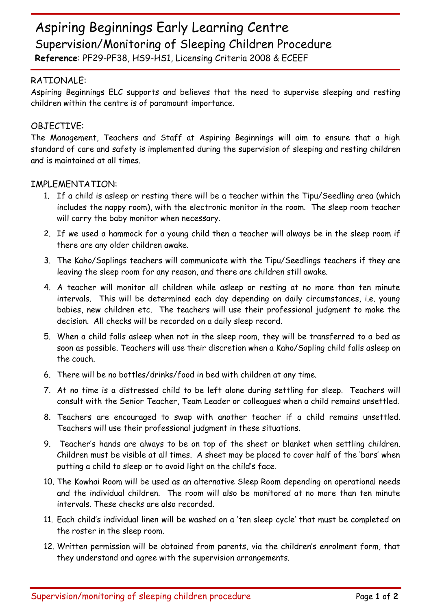## Aspiring Beginnings Early Learning Centre Supervision/Monitoring of Sleeping Children Procedure

**Reference**: PF29-PF38, HS9-HS1, Licensing Criteria 2008 & ECEEF

## RATIONALE:

Aspiring Beginnings ELC supports and believes that the need to supervise sleeping and resting children within the centre is of paramount importance.

## OBJECTIVE:

The Management, Teachers and Staff at Aspiring Beginnings will aim to ensure that a high standard of care and safety is implemented during the supervision of sleeping and resting children and is maintained at all times.

## IMPLEMENTATION:

- 1. If a child is asleep or resting there will be a teacher within the Tipu/Seedling area (which includes the nappy room), with the electronic monitor in the room. The sleep room teacher will carry the baby monitor when necessary.
- 2. If we used a hammock for a young child then a teacher will always be in the sleep room if there are any older children awake.
- 3. The Kaho/Saplings teachers will communicate with the Tipu/Seedlings teachers if they are leaving the sleep room for any reason, and there are children still awake.
- 4. A teacher will monitor all children while asleep or resting at no more than ten minute intervals. This will be determined each day depending on daily circumstances, i.e. young babies, new children etc. The teachers will use their professional judgment to make the decision. All checks will be recorded on a daily sleep record.
- 5. When a child falls asleep when not in the sleep room, they will be transferred to a bed as soon as possible. Teachers will use their discretion when a Kaho/Sapling child falls asleep on the couch.
- 6. There will be no bottles/drinks/food in bed with children at any time.
- 7. At no time is a distressed child to be left alone during settling for sleep. Teachers will consult with the Senior Teacher, Team Leader or colleagues when a child remains unsettled.
- 8. Teachers are encouraged to swap with another teacher if a child remains unsettled. Teachers will use their professional judgment in these situations.
- 9. Teacher's hands are always to be on top of the sheet or blanket when settling children. Children must be visible at all times. A sheet may be placed to cover half of the 'bars' when putting a child to sleep or to avoid light on the child's face.
- 10. The Kowhai Room will be used as an alternative Sleep Room depending on operational needs and the individual children. The room will also be monitored at no more than ten minute intervals. These checks are also recorded.
- 11. Each child's individual linen will be washed on a 'ten sleep cycle' that must be completed on the roster in the sleep room.
- 12. Written permission will be obtained from parents, via the children's enrolment form, that they understand and agree with the supervision arrangements.